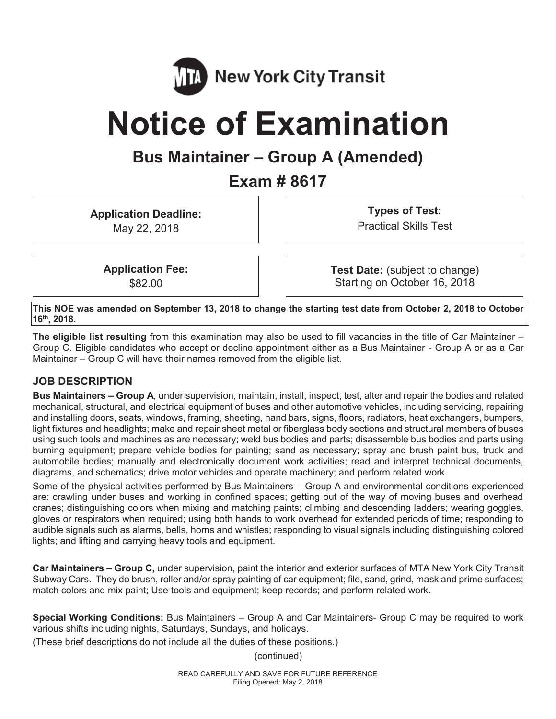

# **Notice of Examination**

# **Bus Maintainer – Group A (Amended)**

**Exam # 8617** 

**Application Deadline:**  May 22, 2018

**Types of Test:**  Practical Skills Test

**Application Fee:**  \$82.00

**Test Date:** (subject to change) Starting on October 16, 2018

**This NOE was amended on September 13, 2018 to change the starting test date from October 2, 2018 to October 16th, 2018.** 

**The eligible list resulting** from this examination may also be used to fill vacancies in the title of Car Maintainer – Group C. Eligible candidates who accept or decline appointment either as a Bus Maintainer - Group A or as a Car Maintainer – Group C will have their names removed from the eligible list.

# **JOB DESCRIPTION**

**Bus Maintainers – Group A**, under supervision, maintain, install, inspect, test, alter and repair the bodies and related mechanical, structural, and electrical equipment of buses and other automotive vehicles, including servicing, repairing and installing doors, seats, windows, framing, sheeting, hand bars, signs, floors, radiators, heat exchangers, bumpers, light fixtures and headlights; make and repair sheet metal or fiberglass body sections and structural members of buses using such tools and machines as are necessary; weld bus bodies and parts; disassemble bus bodies and parts using burning equipment; prepare vehicle bodies for painting; sand as necessary; spray and brush paint bus, truck and automobile bodies; manually and electronically document work activities; read and interpret technical documents, diagrams, and schematics; drive motor vehicles and operate machinery; and perform related work.

Some of the physical activities performed by Bus Maintainers – Group A and environmental conditions experienced are: crawling under buses and working in confined spaces; getting out of the way of moving buses and overhead cranes; distinguishing colors when mixing and matching paints; climbing and descending ladders; wearing goggles, gloves or respirators when required; using both hands to work overhead for extended periods of time; responding to audible signals such as alarms, bells, horns and whistles; responding to visual signals including distinguishing colored lights; and lifting and carrying heavy tools and equipment.

**Car Maintainers – Group C,** under supervision, paint the interior and exterior surfaces of MTA New York City Transit Subway Cars. They do brush, roller and/or spray painting of car equipment; file, sand, grind, mask and prime surfaces; match colors and mix paint; Use tools and equipment; keep records; and perform related work.

**Special Working Conditions:** Bus Maintainers – Group A and Car Maintainers- Group C may be required to work various shifts including nights, Saturdays, Sundays, and holidays.

(These brief descriptions do not include all the duties of these positions.)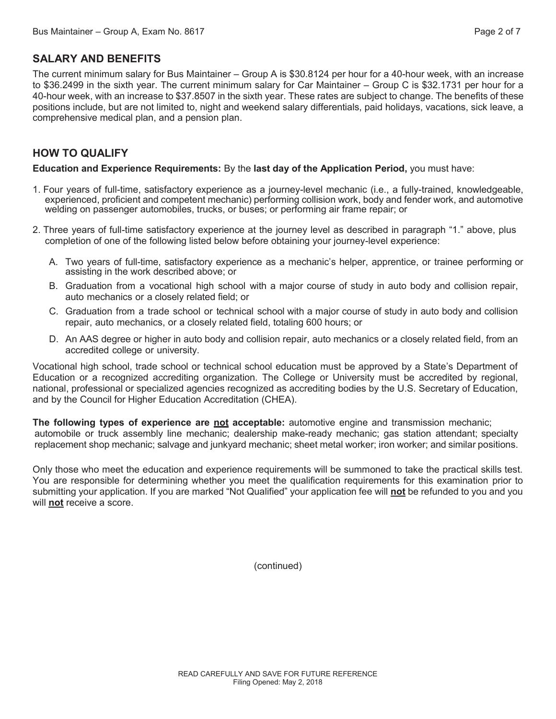The current minimum salary for Bus Maintainer – Group A is \$30.8124 per hour for a 40-hour week, with an increase to \$36.2499 in the sixth year. The current minimum salary for Car Maintainer – Group C is \$32.1731 per hour for a 40-hour week, with an increase to \$37.8507 in the sixth year. These rates are subject to change. The benefits of these positions include, but are not limited to, night and weekend salary differentials, paid holidays, vacations, sick leave, a comprehensive medical plan, and a pension plan.

# **HOW TO QUALIFY**

**Education and Experience Requirements:** By the **last day of the Application Period,** you must have:

- 1. Four years of full-time, satisfactory experience as a journey-level mechanic (i.e., a fully-trained, knowledgeable, experienced, proficient and competent mechanic) performing collision work, body and fender work, and automotive welding on passenger automobiles, trucks, or buses; or performing air frame repair; or
- 2. Three years of full-time satisfactory experience at the journey level as described in paragraph "1." above, plus completion of one of the following listed below before obtaining your journey-level experience:
	- A. Two years of full-time, satisfactory experience as a mechanic's helper, apprentice, or trainee performing or assisting in the work described above; or
	- B. Graduation from a vocational high school with a major course of study in auto body and collision repair, auto mechanics or a closely related field; or
	- C. Graduation from a trade school or technical school with a major course of study in auto body and collision repair, auto mechanics, or a closely related field, totaling 600 hours; or
	- D. An AAS degree or higher in auto body and collision repair, auto mechanics or a closely related field, from an accredited college or university.

Vocational high school, trade school or technical school education must be approved by a State's Department of Education or a recognized accrediting organization. The College or University must be accredited by regional, national, professional or specialized agencies recognized as accrediting bodies by the U.S. Secretary of Education, and by the Council for Higher Education Accreditation (CHEA).

**The following types of experience are not acceptable:** automotive engine and transmission mechanic; automobile or truck assembly line mechanic; dealership make-ready mechanic; gas station attendant; specialty replacement shop mechanic; salvage and junkyard mechanic; sheet metal worker; iron worker; and similar positions.

Only those who meet the education and experience requirements will be summoned to take the practical skills test. You are responsible for determining whether you meet the qualification requirements for this examination prior to submitting your application. If you are marked "Not Qualified" your application fee will **not** be refunded to you and you will **not** receive a score.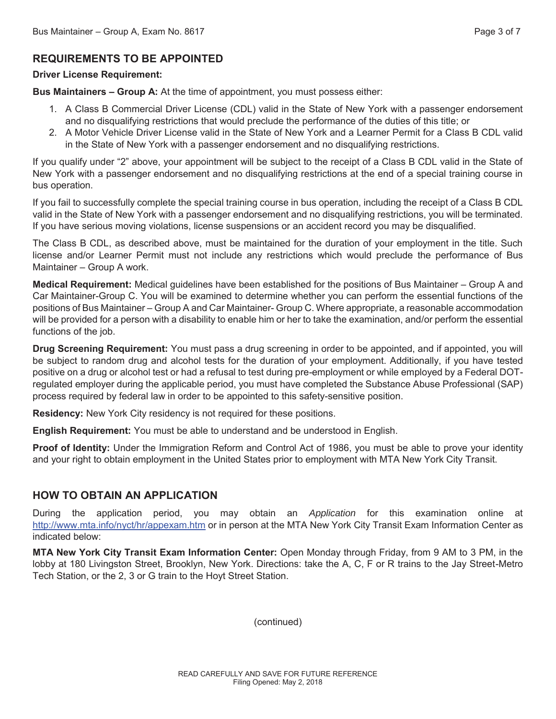# **REQUIREMENTS TO BE APPOINTED**

#### **Driver License Requirement:**

**Bus Maintainers – Group A:** At the time of appointment, you must possess either:

- 1. A Class B Commercial Driver License (CDL) valid in the State of New York with a passenger endorsement and no disqualifying restrictions that would preclude the performance of the duties of this title; or
- 2. A Motor Vehicle Driver License valid in the State of New York and a Learner Permit for a Class B CDL valid in the State of New York with a passenger endorsement and no disqualifying restrictions.

If you qualify under "2" above, your appointment will be subject to the receipt of a Class B CDL valid in the State of New York with a passenger endorsement and no disqualifying restrictions at the end of a special training course in bus operation.

If you fail to successfully complete the special training course in bus operation, including the receipt of a Class B CDL valid in the State of New York with a passenger endorsement and no disqualifying restrictions, you will be terminated. If you have serious moving violations, license suspensions or an accident record you may be disqualified.

The Class B CDL, as described above, must be maintained for the duration of your employment in the title. Such license and/or Learner Permit must not include any restrictions which would preclude the performance of Bus Maintainer – Group A work.

**Medical Requirement:** Medical guidelines have been established for the positions of Bus Maintainer – Group A and Car Maintainer-Group C. You will be examined to determine whether you can perform the essential functions of the positions of Bus Maintainer – Group A and Car Maintainer- Group C. Where appropriate, a reasonable accommodation will be provided for a person with a disability to enable him or her to take the examination, and/or perform the essential functions of the job.

**Drug Screening Requirement:** You must pass a drug screening in order to be appointed, and if appointed, you will be subject to random drug and alcohol tests for the duration of your employment. Additionally, if you have tested positive on a drug or alcohol test or had a refusal to test during pre-employment or while employed by a Federal DOTregulated employer during the applicable period, you must have completed the Substance Abuse Professional (SAP) process required by federal law in order to be appointed to this safety-sensitive position.

**Residency:** New York City residency is not required for these positions.

**English Requirement:** You must be able to understand and be understood in English.

**Proof of Identity:** Under the Immigration Reform and Control Act of 1986, you must be able to prove your identity and your right to obtain employment in the United States prior to employment with MTA New York City Transit.

# **HOW TO OBTAIN AN APPLICATION**

During the application period, you may obtain an *Application* for this examination online at http://www.mta.info/nyct/hr/appexam.htm or in person at the MTA New York City Transit Exam Information Center as indicated below:

**MTA New York City Transit Exam Information Center:** Open Monday through Friday, from 9 AM to 3 PM, in the lobby at 180 Livingston Street, Brooklyn, New York. Directions: take the A, C, F or R trains to the Jay Street-Metro Tech Station, or the 2, 3 or G train to the Hoyt Street Station.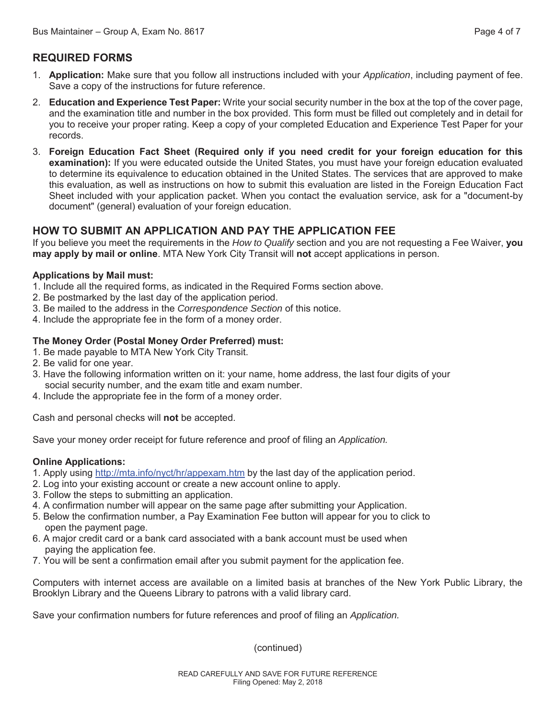# **REQUIRED FORMS**

- 1. **Application:** Make sure that you follow all instructions included with your *Application*, including payment of fee. Save a copy of the instructions for future reference.
- 2. **Education and Experience Test Paper:** Write your social security number in the box at the top of the cover page, and the examination title and number in the box provided. This form must be filled out completely and in detail for you to receive your proper rating. Keep a copy of your completed Education and Experience Test Paper for your records.
- 3. **Foreign Education Fact Sheet (Required only if you need credit for your foreign education for this examination):** If you were educated outside the United States, you must have your foreign education evaluated to determine its equivalence to education obtained in the United States. The services that are approved to make this evaluation, as well as instructions on how to submit this evaluation are listed in the Foreign Education Fact Sheet included with your application packet. When you contact the evaluation service, ask for a "document-by document" (general) evaluation of your foreign education.

# **HOW TO SUBMIT AN APPLICATION AND PAY THE APPLICATION FEE**

If you believe you meet the requirements in the *How to Qualify* section and you are not requesting a Fee Waiver, **you may apply by mail or online**. MTA New York City Transit will **not** accept applications in person.

#### **Applications by Mail must:**

- 1. Include all the required forms, as indicated in the Required Forms section above.
- 2. Be postmarked by the last day of the application period.
- 3. Be mailed to the address in the *Correspondence Section* of this notice.
- 4. Include the appropriate fee in the form of a money order.

#### **The Money Order (Postal Money Order Preferred) must:**

- 1. Be made payable to MTA New York City Transit.
- 2. Be valid for one year.
- 3. Have the following information written on it: your name, home address, the last four digits of your social security number, and the exam title and exam number.
- 4. Include the appropriate fee in the form of a money order.

Cash and personal checks will **not** be accepted.

Save your money order receipt for future reference and proof of filing an *Application.* 

#### **Online Applications:**

- 1. Apply using http://mta.info/nyct/hr/appexam.htm by the last day of the application period.
- 2. Log into your existing account or create a new account online to apply.
- 3. Follow the steps to submitting an application.
- 4. A confirmation number will appear on the same page after submitting your Application.
- 5. Below the confirmation number, a Pay Examination Fee button will appear for you to click to open the payment page.
- 6. A major credit card or a bank card associated with a bank account must be used when paying the application fee.
- 7. You will be sent a confirmation email after you submit payment for the application fee.

Computers with internet access are available on a limited basis at branches of the New York Public Library, the Brooklyn Library and the Queens Library to patrons with a valid library card.

Save your confirmation numbers for future references and proof of filing an *Application.*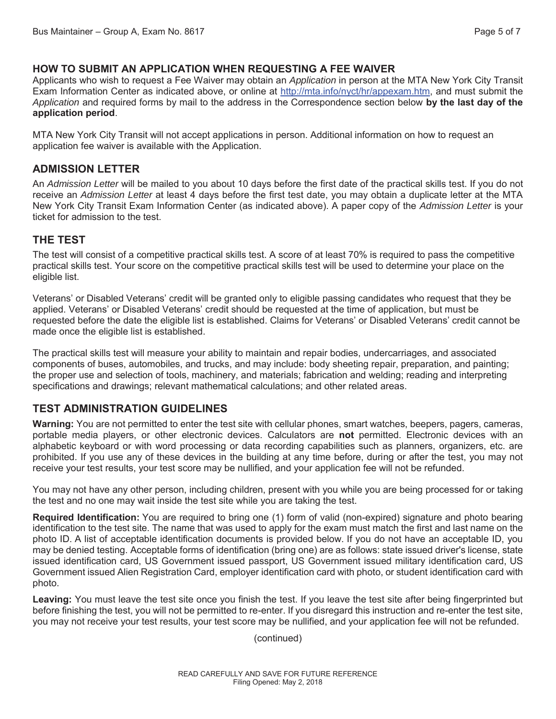#### **HOW TO SUBMIT AN APPLICATION WHEN REQUESTING A FEE WAIVER**

Applicants who wish to request a Fee Waiver may obtain an *Application* in person at the MTA New York City Transit Exam Information Center as indicated above, or online at http://mta.info/nyct/hr/appexam.htm, and must submit the *Application* and required forms by mail to the address in the Correspondence section below **by the last day of the application period**.

MTA New York City Transit will not accept applications in person. Additional information on how to request an application fee waiver is available with the Application.

#### **ADMISSION LETTER**

An *Admission Letter* will be mailed to you about 10 days before the first date of the practical skills test. If you do not receive an *Admission Letter* at least 4 days before the first test date, you may obtain a duplicate letter at the MTA New York City Transit Exam Information Center (as indicated above). A paper copy of the *Admission Letter* is your ticket for admission to the test.

# **THE TEST**

The test will consist of a competitive practical skills test. A score of at least 70% is required to pass the competitive practical skills test. Your score on the competitive practical skills test will be used to determine your place on the eligible list.

Veterans' or Disabled Veterans' credit will be granted only to eligible passing candidates who request that they be applied. Veterans' or Disabled Veterans' credit should be requested at the time of application, but must be requested before the date the eligible list is established. Claims for Veterans' or Disabled Veterans' credit cannot be made once the eligible list is established.

The practical skills test will measure your ability to maintain and repair bodies, undercarriages, and associated components of buses, automobiles, and trucks, and may include: body sheeting repair, preparation, and painting; the proper use and selection of tools, machinery, and materials; fabrication and welding; reading and interpreting specifications and drawings; relevant mathematical calculations; and other related areas.

# **TEST ADMINISTRATION GUIDELINES**

**Warning:** You are not permitted to enter the test site with cellular phones, smart watches, beepers, pagers, cameras, portable media players, or other electronic devices. Calculators are **not** permitted. Electronic devices with an alphabetic keyboard or with word processing or data recording capabilities such as planners, organizers, etc. are prohibited. If you use any of these devices in the building at any time before, during or after the test, you may not receive your test results, your test score may be nullified, and your application fee will not be refunded.

You may not have any other person, including children, present with you while you are being processed for or taking the test and no one may wait inside the test site while you are taking the test.

**Required Identification:** You are required to bring one (1) form of valid (non-expired) signature and photo bearing identification to the test site. The name that was used to apply for the exam must match the first and last name on the photo ID. A list of acceptable identification documents is provided below. If you do not have an acceptable ID, you may be denied testing. Acceptable forms of identification (bring one) are as follows: state issued driver's license, state issued identification card, US Government issued passport, US Government issued military identification card, US Government issued Alien Registration Card, employer identification card with photo, or student identification card with photo.

**Leaving:** You must leave the test site once you finish the test. If you leave the test site after being fingerprinted but before finishing the test, you will not be permitted to re-enter. If you disregard this instruction and re-enter the test site, you may not receive your test results, your test score may be nullified, and your application fee will not be refunded.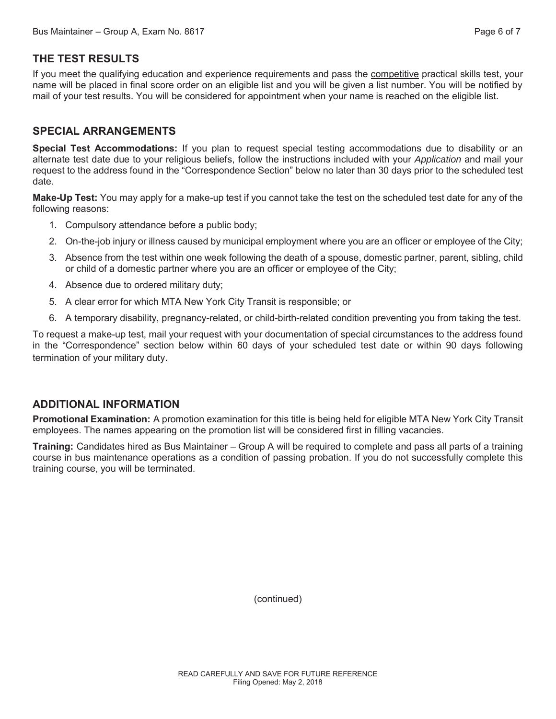# **THE TEST RESULTS**

If you meet the qualifying education and experience requirements and pass the competitive practical skills test, your name will be placed in final score order on an eligible list and you will be given a list number. You will be notified by mail of your test results. You will be considered for appointment when your name is reached on the eligible list.

#### **SPECIAL ARRANGEMENTS**

**Special Test Accommodations:** If you plan to request special testing accommodations due to disability or an alternate test date due to your religious beliefs, follow the instructions included with your *Application* and mail your request to the address found in the "Correspondence Section" below no later than 30 days prior to the scheduled test date.

**Make-Up Test:** You may apply for a make-up test if you cannot take the test on the scheduled test date for any of the following reasons:

- 1. Compulsory attendance before a public body;
- 2. On-the-job injury or illness caused by municipal employment where you are an officer or employee of the City;
- 3. Absence from the test within one week following the death of a spouse, domestic partner, parent, sibling, child or child of a domestic partner where you are an officer or employee of the City;
- 4. Absence due to ordered military duty;
- 5. A clear error for which MTA New York City Transit is responsible; or
- 6. A temporary disability, pregnancy-related, or child-birth-related condition preventing you from taking the test.

To request a make-up test, mail your request with your documentation of special circumstances to the address found in the "Correspondence" section below within 60 days of your scheduled test date or within 90 days following termination of your military duty.

#### **ADDITIONAL INFORMATION**

**Promotional Examination:** A promotion examination for this title is being held for eligible MTA New York City Transit employees. The names appearing on the promotion list will be considered first in filling vacancies.

**Training:** Candidates hired as Bus Maintainer – Group A will be required to complete and pass all parts of a training course in bus maintenance operations as a condition of passing probation. If you do not successfully complete this training course, you will be terminated.